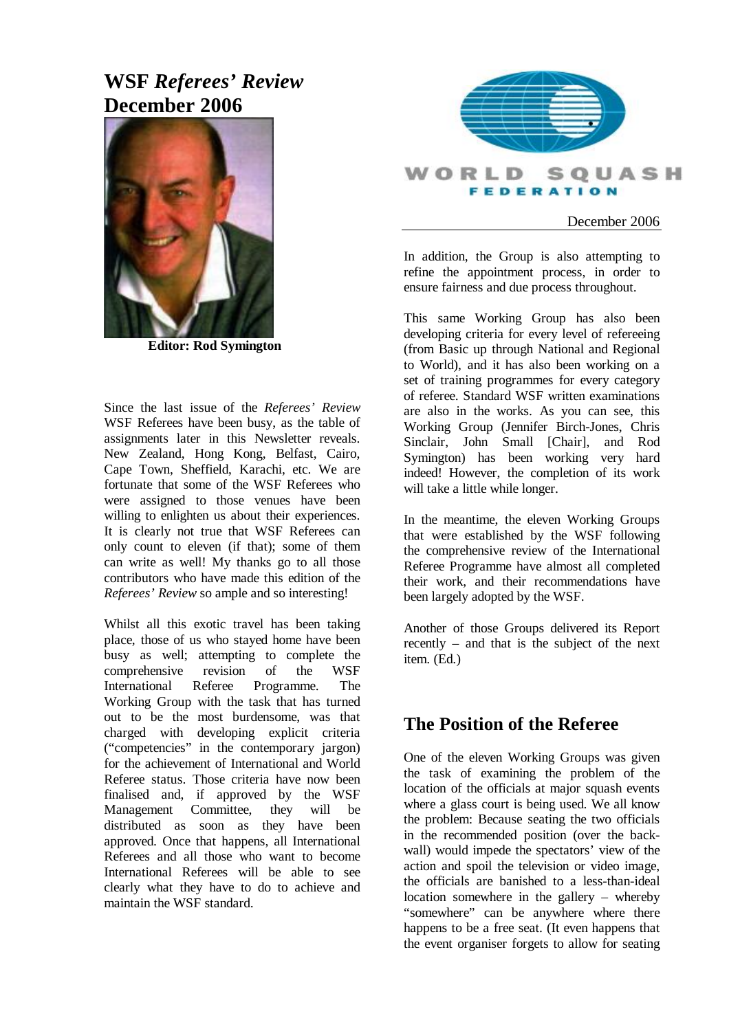# **WSF** *Referees' Review* **December 2006**



**Editor: Rod Symington** 

Since the last issue of the *Referees' Review* WSF Referees have been busy, as the table of assignments later in this Newsletter reveals. New Zealand, Hong Kong, Belfast, Cairo, Cape Town, Sheffield, Karachi, etc. We are fortunate that some of the WSF Referees who were assigned to those venues have been willing to enlighten us about their experiences. It is clearly not true that WSF Referees can only count to eleven (if that); some of them can write as well! My thanks go to all those contributors who have made this edition of the *Referees' Review* so ample and so interesting!

Whilst all this exotic travel has been taking place, those of us who stayed home have been busy as well; attempting to complete the comprehensive revision of the WSF International Referee Programme. The Working Group with the task that has turned out to be the most burdensome, was that charged with developing explicit criteria ("competencies" in the contemporary jargon) for the achievement of International and World Referee status. Those criteria have now been finalised and, if approved by the WSF Management Committee, they will be distributed as soon as they have been approved. Once that happens, all International Referees and all those who want to become International Referees will be able to see clearly what they have to do to achieve and maintain the WSF standard.



### December 2006

In addition, the Group is also attempting to refine the appointment process, in order to ensure fairness and due process throughout.

This same Working Group has also been developing criteria for every level of refereeing (from Basic up through National and Regional to World), and it has also been working on a set of training programmes for every category of referee. Standard WSF written examinations are also in the works. As you can see, this Working Group (Jennifer Birch-Jones, Chris Sinclair, John Small [Chair], and Rod Symington) has been working very hard indeed! However, the completion of its work will take a little while longer.

In the meantime, the eleven Working Groups that were established by the WSF following the comprehensive review of the International Referee Programme have almost all completed their work, and their recommendations have been largely adopted by the WSF.

Another of those Groups delivered its Report recently – and that is the subject of the next item. (Ed.)

### **The Position of the Referee**

One of the eleven Working Groups was given the task of examining the problem of the location of the officials at major squash events where a glass court is being used. We all know the problem: Because seating the two officials in the recommended position (over the backwall) would impede the spectators' view of the action and spoil the television or video image, the officials are banished to a less-than-ideal location somewhere in the gallery – whereby "somewhere" can be anywhere where there happens to be a free seat. (It even happens that the event organiser forgets to allow for seating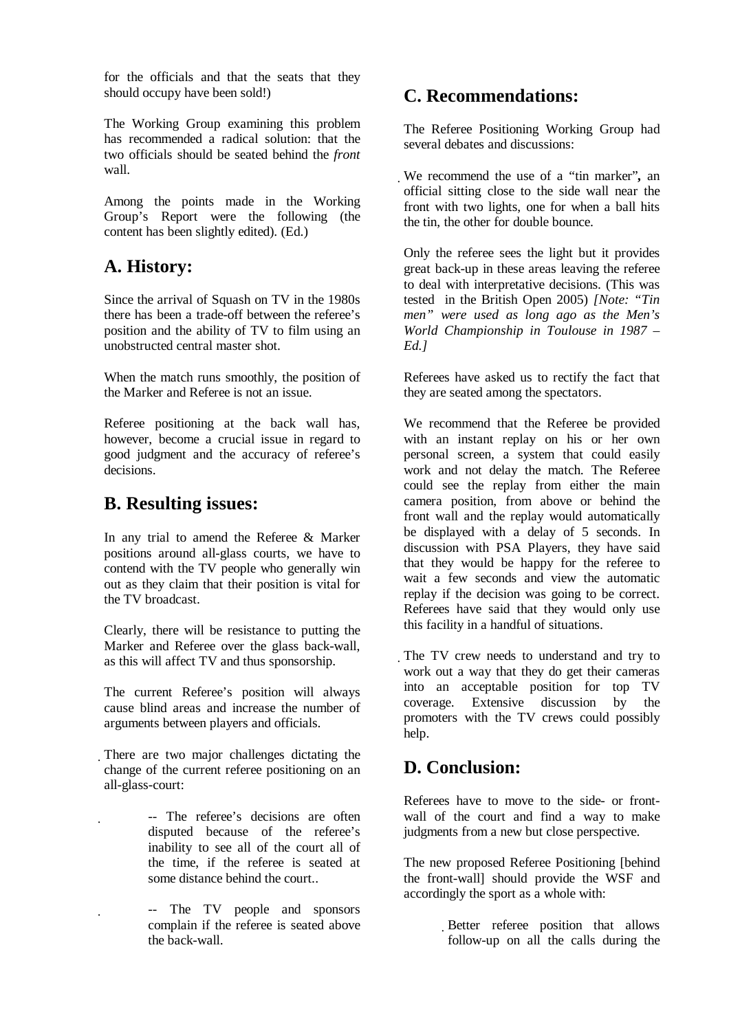for the officials and that the seats that they should occupy have been sold!)

The Working Group examining this problem has recommended a radical solution: that the two officials should be seated behind the *front* wall.

Among the points made in the Working Group's Report were the following (the content has been slightly edited). (Ed.)

### **A. History:**

Since the arrival of Squash on TV in the 1980s there has been a trade-off between the referee's position and the ability of TV to film using an unobstructed central master shot.

When the match runs smoothly, the position of the Marker and Referee is not an issue.

Referee positioning at the back wall has, however, become a crucial issue in regard to good judgment and the accuracy of referee's decisions.

### **B. Resulting issues:**

In any trial to amend the Referee & Marker positions around all-glass courts, we have to contend with the TV people who generally win out as they claim that their position is vital for the TV broadcast.

Clearly, there will be resistance to putting the Marker and Referee over the glass back-wall, as this will affect TV and thus sponsorship.

The current Referee's position will always cause blind areas and increase the number of arguments between players and officials.

- There are two major challenges dictating the change of the current referee positioning on an all-glass-court:
	- -- The referee's decisions are often disputed because of the referee's inability to see all of the court all of the time, if the referee is seated at some distance behind the court.
	- -- The TV people and sponsors complain if the referee is seated above the back-wall.

### **C. Recommendations:**

The Referee Positioning Working Group had several debates and discussions:

We recommend the use of a "tin marker"*,* an official sitting close to the side wall near the front with two lights, one for when a ball hits the tin, the other for double bounce.

Only the referee sees the light but it provides great back-up in these areas leaving the referee to deal with interpretative decisions. (This was tested in the British Open 2005) *[Note: "Tin men" were used as long ago as the Men's World Championship in Toulouse in 1987 – Ed.]* 

Referees have asked us to rectify the fact that they are seated among the spectators.

We recommend that the Referee be provided with an instant replay on his or her own personal screen, a system that could easily work and not delay the match. The Referee could see the replay from either the main camera position, from above or behind the front wall and the replay would automatically be displayed with a delay of 5 seconds. In discussion with PSA Players, they have said that they would be happy for the referee to wait a few seconds and view the automatic replay if the decision was going to be correct. Referees have said that they would only use this facility in a handful of situations.

The TV crew needs to understand and try to work out a way that they do get their cameras into an acceptable position for top TV coverage. Extensive discussion by the promoters with the TV crews could possibly help.

## **D. Conclusion:**

Referees have to move to the side- or frontwall of the court and find a way to make judgments from a new but close perspective.

The new proposed Referee Positioning [behind the front-wall] should provide the WSF and accordingly the sport as a whole with:

> Better referee position that allows follow-up on all the calls during the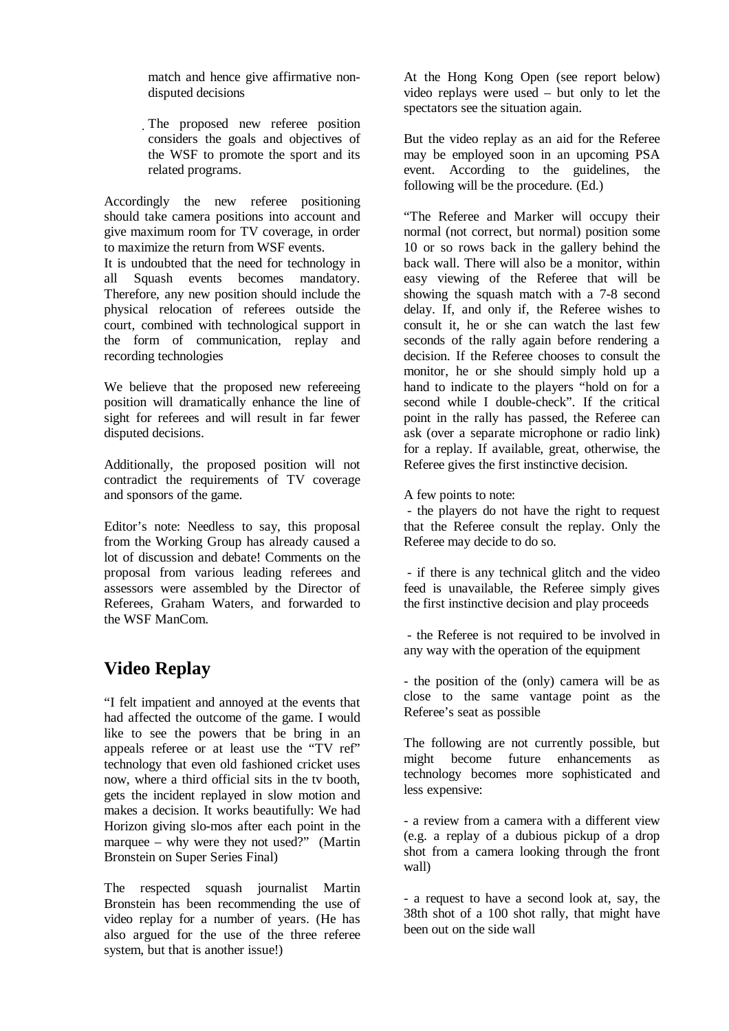match and hence give affirmative nondisputed decisions

The proposed new referee position considers the goals and objectives of the WSF to promote the sport and its related programs.

Accordingly the new referee positioning should take camera positions into account and give maximum room for TV coverage, in order to maximize the return from WSF events.

It is undoubted that the need for technology in all Squash events becomes mandatory. Therefore, any new position should include the physical relocation of referees outside the court, combined with technological support in the form of communication, replay and recording technologies

We believe that the proposed new refereeing position will dramatically enhance the line of sight for referees and will result in far fewer disputed decisions.

Additionally, the proposed position will not contradict the requirements of TV coverage and sponsors of the game.

Editor's note: Needless to say, this proposal from the Working Group has already caused a lot of discussion and debate! Comments on the proposal from various leading referees and assessors were assembled by the Director of Referees, Graham Waters, and forwarded to the WSF ManCom.

# **Video Replay**

"I felt impatient and annoyed at the events that had affected the outcome of the game. I would like to see the powers that be bring in an appeals referee or at least use the "TV ref" technology that even old fashioned cricket uses now, where a third official sits in the tv booth, gets the incident replayed in slow motion and makes a decision. It works beautifully: We had Horizon giving slo-mos after each point in the marquee – why were they not used?" (Martin Bronstein on Super Series Final)

The respected squash journalist Martin Bronstein has been recommending the use of video replay for a number of years. (He has also argued for the use of the three referee system, but that is another issue!)

At the Hong Kong Open (see report below) video replays were used – but only to let the spectators see the situation again.

But the video replay as an aid for the Referee may be employed soon in an upcoming PSA event. According to the guidelines, the following will be the procedure. (Ed.)

"The Referee and Marker will occupy their normal (not correct, but normal) position some 10 or so rows back in the gallery behind the back wall. There will also be a monitor, within easy viewing of the Referee that will be showing the squash match with a 7-8 second delay. If, and only if, the Referee wishes to consult it, he or she can watch the last few seconds of the rally again before rendering a decision. If the Referee chooses to consult the monitor, he or she should simply hold up a hand to indicate to the players "hold on for a second while I double-check". If the critical point in the rally has passed, the Referee can ask (over a separate microphone or radio link) for a replay. If available, great, otherwise, the Referee gives the first instinctive decision.

A few points to note:

- the players do not have the right to request that the Referee consult the replay. Only the Referee may decide to do so.

- if there is any technical glitch and the video feed is unavailable, the Referee simply gives the first instinctive decision and play proceeds

- the Referee is not required to be involved in any way with the operation of the equipment

- the position of the (only) camera will be as close to the same vantage point as the Referee's seat as possible

The following are not currently possible, but might become future enhancements as technology becomes more sophisticated and less expensive:

- a review from a camera with a different view (e.g. a replay of a dubious pickup of a drop shot from a camera looking through the front wall)

- a request to have a second look at, say, the 38th shot of a 100 shot rally, that might have been out on the side wall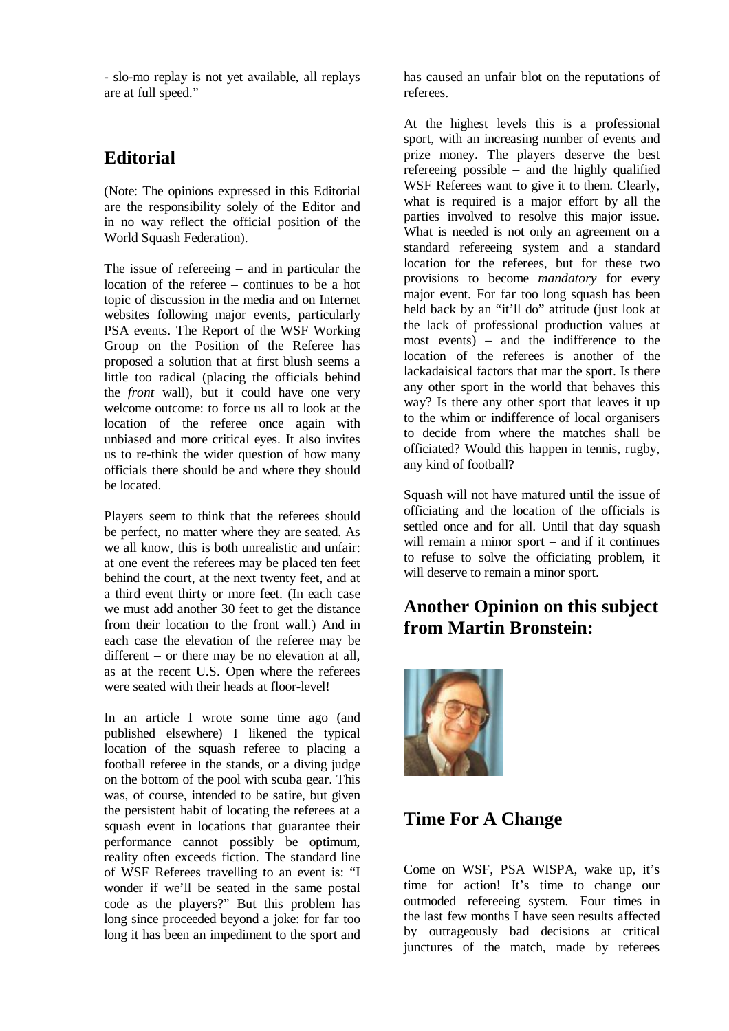- slo-mo replay is not yet available, all replays are at full speed."

### **Editorial**

(Note: The opinions expressed in this Editorial are the responsibility solely of the Editor and in no way reflect the official position of the World Squash Federation).

The issue of refereeing – and in particular the location of the referee – continues to be a hot topic of discussion in the media and on Internet websites following major events, particularly PSA events. The Report of the WSF Working Group on the Position of the Referee has proposed a solution that at first blush seems a little too radical (placing the officials behind the *front* wall), but it could have one very welcome outcome: to force us all to look at the location of the referee once again with unbiased and more critical eyes. It also invites us to re-think the wider question of how many officials there should be and where they should be located.

Players seem to think that the referees should be perfect, no matter where they are seated. As we all know, this is both unrealistic and unfair: at one event the referees may be placed ten feet behind the court, at the next twenty feet, and at a third event thirty or more feet. (In each case we must add another 30 feet to get the distance from their location to the front wall.) And in each case the elevation of the referee may be different – or there may be no elevation at all, as at the recent U.S. Open where the referees were seated with their heads at floor-level!

In an article I wrote some time ago (and published elsewhere) I likened the typical location of the squash referee to placing a football referee in the stands, or a diving judge on the bottom of the pool with scuba gear. This was, of course, intended to be satire, but given the persistent habit of locating the referees at a squash event in locations that guarantee their performance cannot possibly be optimum, reality often exceeds fiction. The standard line of WSF Referees travelling to an event is: "I wonder if we'll be seated in the same postal code as the players?" But this problem has long since proceeded beyond a joke: for far too long it has been an impediment to the sport and has caused an unfair blot on the reputations of referees.

At the highest levels this is a professional sport, with an increasing number of events and prize money. The players deserve the best refereeing possible – and the highly qualified WSF Referees want to give it to them. Clearly, what is required is a major effort by all the parties involved to resolve this major issue. What is needed is not only an agreement on a standard refereeing system and a standard location for the referees, but for these two provisions to become *mandatory* for every major event. For far too long squash has been held back by an "it'll do" attitude (just look at the lack of professional production values at most events) – and the indifference to the location of the referees is another of the lackadaisical factors that mar the sport. Is there any other sport in the world that behaves this way? Is there any other sport that leaves it up to the whim or indifference of local organisers to decide from where the matches shall be officiated? Would this happen in tennis, rugby, any kind of football?

Squash will not have matured until the issue of officiating and the location of the officials is settled once and for all. Until that day squash will remain a minor sport – and if it continues to refuse to solve the officiating problem, it will deserve to remain a minor sport.

## **Another Opinion on this subject from Martin Bronstein:**



## **Time For A Change**

Come on WSF, PSA WISPA, wake up, it's time for action! It's time to change our outmoded refereeing system. Four times in the last few months I have seen results affected by outrageously bad decisions at critical junctures of the match, made by referees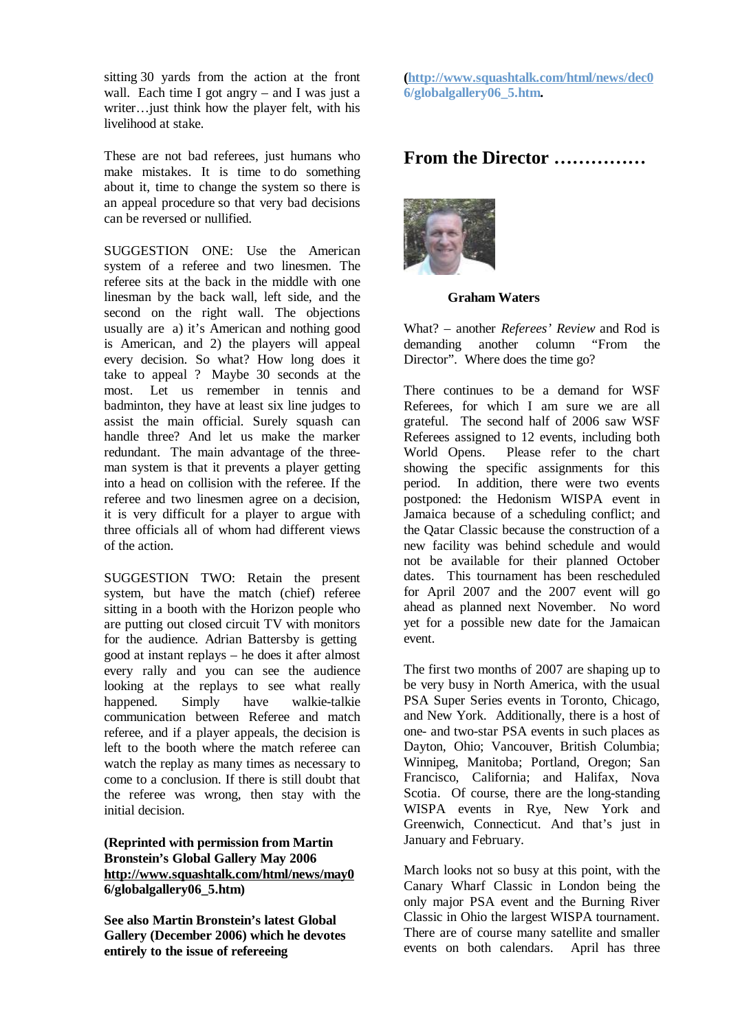sitting 30 yards from the action at the front wall. Each time I got angry  $-$  and I was just a writer…just think how the player felt, with his livelihood at stake.

These are not bad referees, just humans who make mistakes. It is time to do something about it, time to change the system so there is an appeal procedure so that very bad decisions can be reversed or nullified.

SUGGESTION ONE: Use the American system of a referee and two linesmen. The referee sits at the back in the middle with one linesman by the back wall, left side, and the second on the right wall. The objections usually are a) it's American and nothing good is American, and 2) the players will appeal every decision. So what? How long does it take to appeal ? Maybe 30 seconds at the most. Let us remember in tennis and badminton, they have at least six line judges to assist the main official. Surely squash can handle three? And let us make the marker redundant. The main advantage of the threeman system is that it prevents a player getting into a head on collision with the referee. If the referee and two linesmen agree on a decision, it is very difficult for a player to argue with three officials all of whom had different views of the action.

SUGGESTION TWO: Retain the present system, but have the match (chief) referee sitting in a booth with the Horizon people who are putting out closed circuit TV with monitors for the audience. Adrian Battersby is getting good at instant replays – he does it after almost every rally and you can see the audience looking at the replays to see what really happened. Simply have walkie-talkie communication between Referee and match referee, and if a player appeals, the decision is left to the booth where the match referee can watch the replay as many times as necessary to come to a conclusion. If there is still doubt that the referee was wrong, then stay with the initial decision.

### **(Reprinted with permission from Martin Bronstein's Global Gallery May 2006 <http://www.squashtalk.com/html/news/may0> 6/globalgallery06\_5.htm)**

**See also Martin Bronstein's latest Global Gallery (December 2006) which he devotes entirely to the issue of refereeing** 

**[\(http://www.squashtalk.com/html/news/dec0](http://www.squashtalk.com/html/news/dec0) 6/globalgallery06\_5.htm.** 

### **From the Director ……………**



#### **Graham Waters**

What? – another *Referees' Review* and Rod is demanding another column "From the Director". Where does the time go?

There continues to be a demand for WSF Referees, for which I am sure we are all grateful. The second half of 2006 saw WSF Referees assigned to 12 events, including both World Opens. Please refer to the chart showing the specific assignments for this period. In addition, there were two events postponed: the Hedonism WISPA event in Jamaica because of a scheduling conflict; and the Qatar Classic because the construction of a new facility was behind schedule and would not be available for their planned October dates. This tournament has been rescheduled for April 2007 and the 2007 event will go ahead as planned next November. No word yet for a possible new date for the Jamaican event.

The first two months of 2007 are shaping up to be very busy in North America, with the usual PSA Super Series events in Toronto, Chicago, and New York. Additionally, there is a host of one- and two-star PSA events in such places as Dayton, Ohio; Vancouver, British Columbia; Winnipeg, Manitoba; Portland, Oregon; San Francisco, California; and Halifax, Nova Scotia. Of course, there are the long-standing WISPA events in Rye, New York and Greenwich, Connecticut. And that's just in January and February.

March looks not so busy at this point, with the Canary Wharf Classic in London being the only major PSA event and the Burning River Classic in Ohio the largest WISPA tournament. There are of course many satellite and smaller events on both calendars. April has three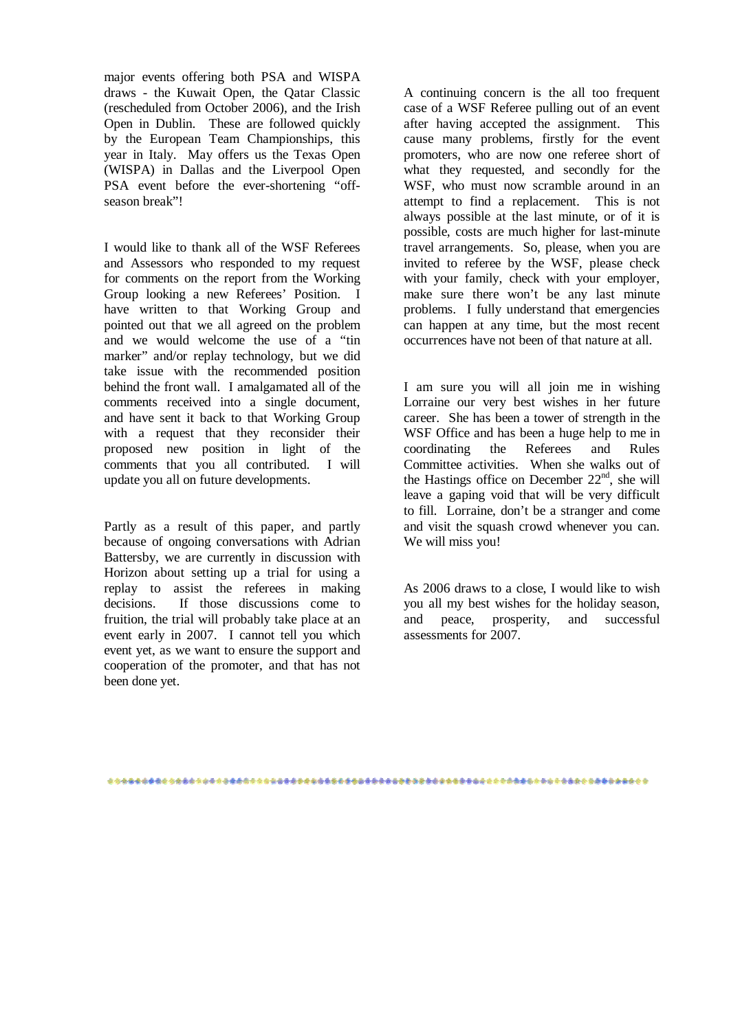major events offering both PSA and WISPA draws - the Kuwait Open, the Qatar Classic (rescheduled from October 2006), and the Irish Open in Dublin. These are followed quickly by the European Team Championships, this year in Italy. May offers us the Texas Open (WISPA) in Dallas and the Liverpool Open PSA event before the ever-shortening "offseason break"!

I would like to thank all of the WSF Referees and Assessors who responded to my request for comments on the report from the Working Group looking a new Referees' Position. I have written to that Working Group and pointed out that we all agreed on the problem and we would welcome the use of a "tin marker" and/or replay technology, but we did take issue with the recommended position behind the front wall. I amalgamated all of the comments received into a single document, and have sent it back to that Working Group with a request that they reconsider their proposed new position in light of the comments that you all contributed. I will update you all on future developments.

Partly as a result of this paper, and partly because of ongoing conversations with Adrian Battersby, we are currently in discussion with Horizon about setting up a trial for using a replay to assist the referees in making decisions. If those discussions come to fruition, the trial will probably take place at an event early in 2007. I cannot tell you which event yet, as we want to ensure the support and cooperation of the promoter, and that has not been done yet.

A continuing concern is the all too frequent case of a WSF Referee pulling out of an event after having accepted the assignment. This cause many problems, firstly for the event promoters, who are now one referee short of what they requested, and secondly for the WSF, who must now scramble around in an attempt to find a replacement. This is not always possible at the last minute, or of it is possible, costs are much higher for last-minute travel arrangements. So, please, when you are invited to referee by the WSF, please check with your family, check with your employer, make sure there won't be any last minute problems. I fully understand that emergencies can happen at any time, but the most recent occurrences have not been of that nature at all.

I am sure you will all join me in wishing Lorraine our very best wishes in her future career. She has been a tower of strength in the WSF Office and has been a huge help to me in coordinating the Referees and Rules Committee activities. When she walks out of the Hastings office on December 22<sup>nd</sup>, she will leave a gaping void that will be very difficult to fill. Lorraine, don't be a stranger and come and visit the squash crowd whenever you can. We will miss you!

As 2006 draws to a close, I would like to wish you all my best wishes for the holiday season, and peace, prosperity, and successful assessments for 2007.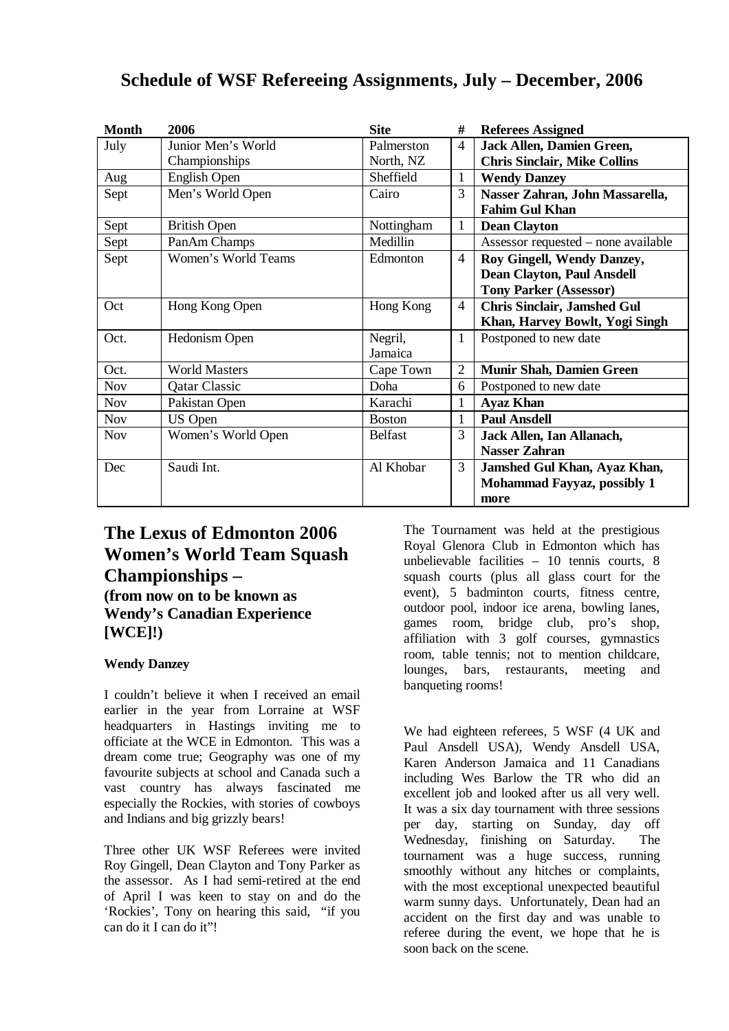| <b>Month</b> | 2006                 | <b>Site</b>    | #              | <b>Referees Assigned</b>            |
|--------------|----------------------|----------------|----------------|-------------------------------------|
| July         | Junior Men's World   | Palmerston     | $\overline{4}$ | Jack Allen, Damien Green,           |
|              | Championships        | North, NZ      |                | <b>Chris Sinclair, Mike Collins</b> |
| Aug          | English Open         | Sheffield      | 1              | <b>Wendy Danzey</b>                 |
| Sept         | Men's World Open     | Cairo          | 3              | Nasser Zahran, John Massarella,     |
|              |                      |                |                | <b>Fahim Gul Khan</b>               |
| Sept         | <b>British Open</b>  | Nottingham     | 1              | <b>Dean Clayton</b>                 |
| Sept         | PanAm Champs         | Medillin       |                | Assessor requested – none available |
| Sept         | Women's World Teams  | Edmonton       | $\overline{4}$ | Roy Gingell, Wendy Danzey,          |
|              |                      |                |                | <b>Dean Clayton, Paul Ansdell</b>   |
|              |                      |                |                | <b>Tony Parker (Assessor)</b>       |
| Oct          | Hong Kong Open       | Hong Kong      | $\overline{4}$ | <b>Chris Sinclair, Jamshed Gul</b>  |
|              |                      |                |                | Khan, Harvey Bowlt, Yogi Singh      |
| Oct.         | Hedonism Open        | Negril,        | $\mathbf{1}$   | Postponed to new date               |
|              |                      | Jamaica        |                |                                     |
| Oct.         | <b>World Masters</b> | Cape Town      | $\overline{2}$ | <b>Munir Shah, Damien Green</b>     |
| <b>Nov</b>   | <b>Qatar Classic</b> | Doha           | 6              | Postponed to new date               |
| <b>Nov</b>   | Pakistan Open        | Karachi        | $\mathbf{1}$   | <b>Ayaz Khan</b>                    |
| <b>Nov</b>   | US Open              | <b>Boston</b>  | $\mathbf{1}$   | <b>Paul Ansdell</b>                 |
| <b>Nov</b>   | Women's World Open   | <b>Belfast</b> | 3              | Jack Allen, Ian Allanach,           |
|              |                      |                |                | <b>Nasser Zahran</b>                |
| Dec          | Saudi Int.           | Al Khobar      | 3              | Jamshed Gul Khan, Ayaz Khan,        |
|              |                      |                |                | Mohammad Fayyaz, possibly 1         |
|              |                      |                |                | more                                |

### **The Lexus of Edmonton 2006 Women's World Team Squash Championships – (from now on to be known as Wendy's Canadian Experience [WCE]!)**

### **Wendy Danzey**

I couldn't believe it when I received an email earlier in the year from Lorraine at WSF headquarters in Hastings inviting me to officiate at the WCE in Edmonton. This was a dream come true; Geography was one of my favourite subjects at school and Canada such a vast country has always fascinated me especially the Rockies, with stories of cowboys and Indians and big grizzly bears!

Three other UK WSF Referees were invited Roy Gingell, Dean Clayton and Tony Parker as the assessor. As I had semi-retired at the end of April I was keen to stay on and do the 'Rockies', Tony on hearing this said, "if you can do it I can do it"!

The Tournament was held at the prestigious Royal Glenora Club in Edmonton which has unbelievable facilities – 10 tennis courts, 8 squash courts (plus all glass court for the event), 5 badminton courts, fitness centre, outdoor pool, indoor ice arena, bowling lanes, games room, bridge club, pro's shop, affiliation with 3 golf courses, gymnastics room, table tennis; not to mention childcare, lounges, bars, restaurants, meeting and banqueting rooms!

We had eighteen referees, 5 WSF (4 UK and Paul Ansdell USA), Wendy Ansdell USA, Karen Anderson Jamaica and 11 Canadians including Wes Barlow the TR who did an excellent job and looked after us all very well. It was a six day tournament with three sessions per day, starting on Sunday, day off Wednesday, finishing on Saturday. The tournament was a huge success, running smoothly without any hitches or complaints, with the most exceptional unexpected beautiful warm sunny days. Unfortunately, Dean had an accident on the first day and was unable to referee during the event, we hope that he is soon back on the scene.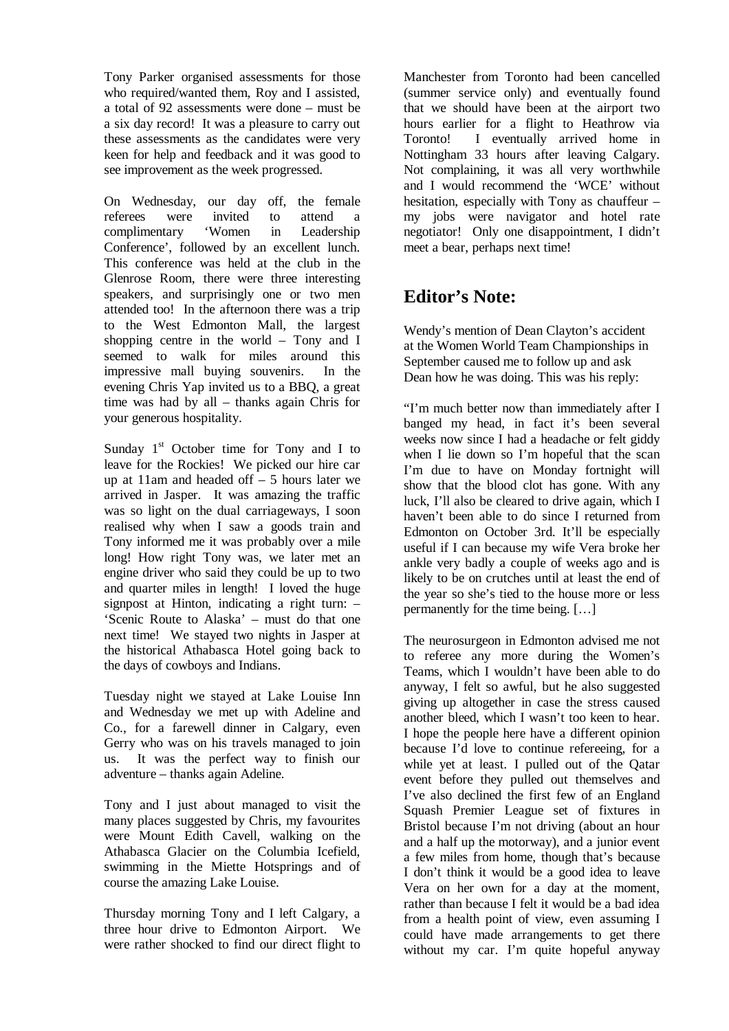Tony Parker organised assessments for those who required/wanted them, Roy and I assisted. a total of 92 assessments were done – must be a six day record! It was a pleasure to carry out these assessments as the candidates were very keen for help and feedback and it was good to see improvement as the week progressed.

On Wednesday, our day off, the female referees were invited to attend a complimentary 'Women in Leadership Conference', followed by an excellent lunch. This conference was held at the club in the Glenrose Room, there were three interesting speakers, and surprisingly one or two men attended too! In the afternoon there was a trip to the West Edmonton Mall, the largest shopping centre in the world – Tony and I seemed to walk for miles around this impressive mall buying souvenirs. In the evening Chris Yap invited us to a BBQ, a great time was had by all – thanks again Chris for your generous hospitality.

Sunday  $1<sup>st</sup>$  October time for Tony and I to leave for the Rockies! We picked our hire car up at 11am and headed off – 5 hours later we arrived in Jasper. It was amazing the traffic was so light on the dual carriageways, I soon realised why when I saw a goods train and Tony informed me it was probably over a mile long! How right Tony was, we later met an engine driver who said they could be up to two and quarter miles in length! I loved the huge signpost at Hinton, indicating a right turn: – 'Scenic Route to Alaska' – must do that one next time! We stayed two nights in Jasper at the historical Athabasca Hotel going back to the days of cowboys and Indians.

Tuesday night we stayed at Lake Louise Inn and Wednesday we met up with Adeline and Co., for a farewell dinner in Calgary, even Gerry who was on his travels managed to join us. It was the perfect way to finish our adventure – thanks again Adeline.

Tony and I just about managed to visit the many places suggested by Chris, my favourites were Mount Edith Cavell, walking on the Athabasca Glacier on the Columbia Icefield, swimming in the Miette Hotsprings and of course the amazing Lake Louise.

Thursday morning Tony and I left Calgary, a three hour drive to Edmonton Airport. We were rather shocked to find our direct flight to Manchester from Toronto had been cancelled (summer service only) and eventually found that we should have been at the airport two hours earlier for a flight to Heathrow via Toronto! I eventually arrived home in Nottingham 33 hours after leaving Calgary. Not complaining, it was all very worthwhile and I would recommend the 'WCE' without hesitation, especially with Tony as chauffeur – my jobs were navigator and hotel rate negotiator! Only one disappointment, I didn't meet a bear, perhaps next time!

## **Editor's Note:**

Wendy's mention of Dean Clayton's accident at the Women World Team Championships in September caused me to follow up and ask Dean how he was doing. This was his reply:

"I'm much better now than immediately after I banged my head, in fact it's been several weeks now since I had a headache or felt giddy when I lie down so I'm hopeful that the scan I'm due to have on Monday fortnight will show that the blood clot has gone. With any luck, I'll also be cleared to drive again, which I haven't been able to do since I returned from Edmonton on October 3rd. It'll be especially useful if I can because my wife Vera broke her ankle very badly a couple of weeks ago and is likely to be on crutches until at least the end of the year so she's tied to the house more or less permanently for the time being. […]

The neurosurgeon in Edmonton advised me not to referee any more during the Women's Teams, which I wouldn't have been able to do anyway, I felt so awful, but he also suggested giving up altogether in case the stress caused another bleed, which I wasn't too keen to hear. I hope the people here have a different opinion because I'd love to continue refereeing, for a while yet at least. I pulled out of the Qatar event before they pulled out themselves and I've also declined the first few of an England Squash Premier League set of fixtures in Bristol because I'm not driving (about an hour and a half up the motorway), and a junior event a few miles from home, though that's because I don't think it would be a good idea to leave Vera on her own for a day at the moment, rather than because I felt it would be a bad idea from a health point of view, even assuming I could have made arrangements to get there without my car. I'm quite hopeful anyway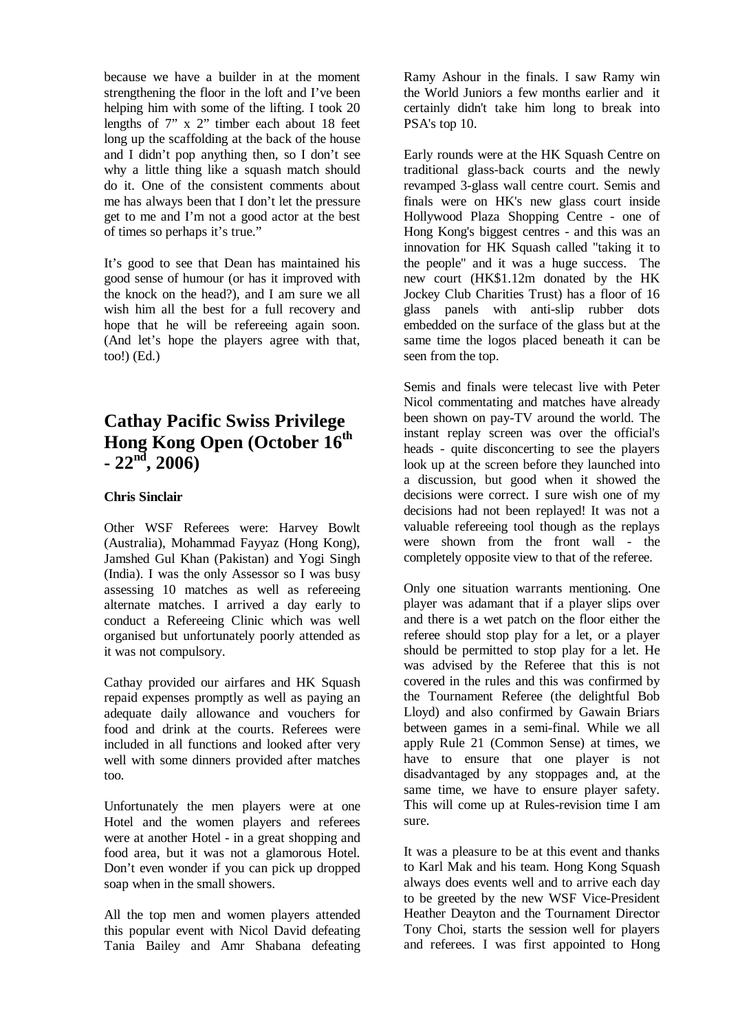because we have a builder in at the moment strengthening the floor in the loft and I've been helping him with some of the lifting. I took 20 lengths of 7" x 2" timber each about 18 feet long up the scaffolding at the back of the house and I didn't pop anything then, so I don't see why a little thing like a squash match should do it. One of the consistent comments about me has always been that I don't let the pressure get to me and I'm not a good actor at the best of times so perhaps it's true."

It's good to see that Dean has maintained his good sense of humour (or has it improved with the knock on the head?), and I am sure we all wish him all the best for a full recovery and hope that he will be refereeing again soon. (And let's hope the players agree with that, too!) (Ed.)

## **Cathay Pacific Swiss Privilege Hong Kong Open (October 16th**  $-22^{n\bar{d}}$ , 2006)

### **Chris Sinclair**

Other WSF Referees were: Harvey Bowlt (Australia), Mohammad Fayyaz (Hong Kong), Jamshed Gul Khan (Pakistan) and Yogi Singh (India). I was the only Assessor so I was busy assessing 10 matches as well as refereeing alternate matches. I arrived a day early to conduct a Refereeing Clinic which was well organised but unfortunately poorly attended as it was not compulsory.

Cathay provided our airfares and HK Squash repaid expenses promptly as well as paying an adequate daily allowance and vouchers for food and drink at the courts. Referees were included in all functions and looked after very well with some dinners provided after matches too.

Unfortunately the men players were at one Hotel and the women players and referees were at another Hotel - in a great shopping and food area, but it was not a glamorous Hotel. Don't even wonder if you can pick up dropped soap when in the small showers.

All the top men and women players attended this popular event with Nicol David defeating Tania Bailey and Amr Shabana defeating Ramy Ashour in the finals. I saw Ramy win the World Juniors a few months earlier and it certainly didn't take him long to break into PSA's top 10.

Early rounds were at the HK Squash Centre on traditional glass-back courts and the newly revamped 3-glass wall centre court. Semis and finals were on HK's new glass court inside Hollywood Plaza Shopping Centre - one of Hong Kong's biggest centres - and this was an innovation for HK Squash called "taking it to the people" and it was a huge success. The new court (HK\$1.12m donated by the HK Jockey Club Charities Trust) has a floor of 16 glass panels with anti-slip rubber dots embedded on the surface of the glass but at the same time the logos placed beneath it can be seen from the top.

Semis and finals were telecast live with Peter Nicol commentating and matches have already been shown on pay-TV around the world. The instant replay screen was over the official's heads - quite disconcerting to see the players look up at the screen before they launched into a discussion, but good when it showed the decisions were correct. I sure wish one of my decisions had not been replayed! It was not a valuable refereeing tool though as the replays were shown from the front wall - the completely opposite view to that of the referee.

Only one situation warrants mentioning. One player was adamant that if a player slips over and there is a wet patch on the floor either the referee should stop play for a let, or a player should be permitted to stop play for a let. He was advised by the Referee that this is not covered in the rules and this was confirmed by the Tournament Referee (the delightful Bob Lloyd) and also confirmed by Gawain Briars between games in a semi-final. While we all apply Rule 21 (Common Sense) at times, we have to ensure that one player is not disadvantaged by any stoppages and, at the same time, we have to ensure player safety. This will come up at Rules-revision time I am sure.

It was a pleasure to be at this event and thanks to Karl Mak and his team. Hong Kong Squash always does events well and to arrive each day to be greeted by the new WSF Vice-President Heather Deayton and the Tournament Director Tony Choi, starts the session well for players and referees. I was first appointed to Hong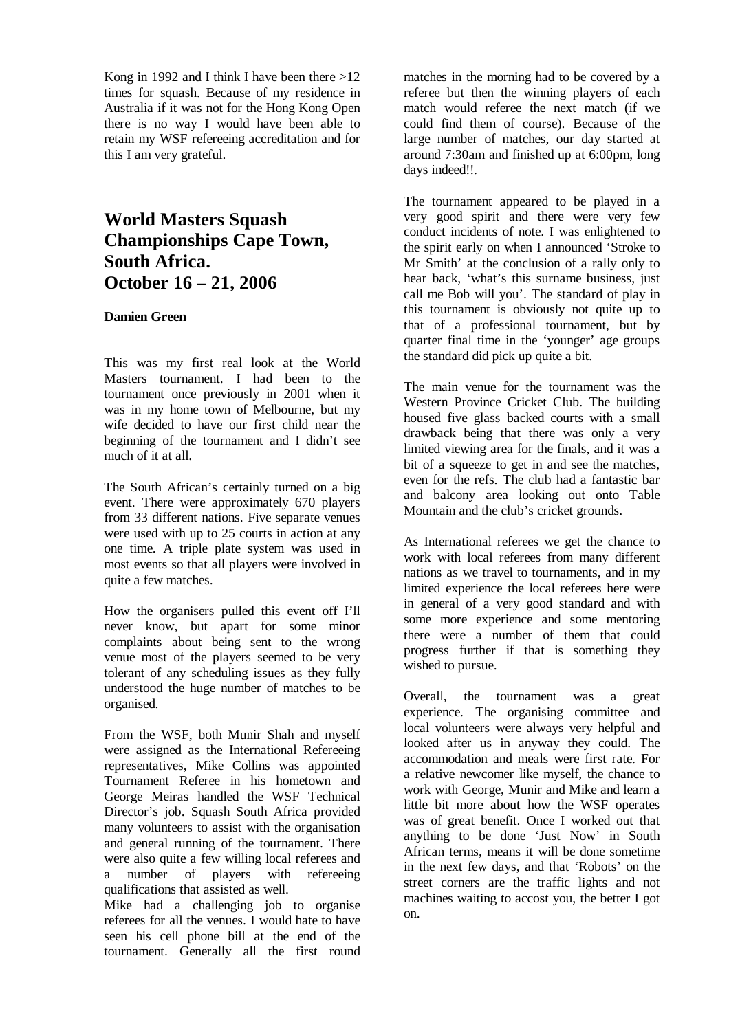Kong in 1992 and I think I have been there  $>12$ times for squash. Because of my residence in Australia if it was not for the Hong Kong Open there is no way I would have been able to retain my WSF refereeing accreditation and for this I am very grateful.

### **World Masters Squash Championships Cape Town, South Africa. October 16 – 21, 2006**

#### **Damien Green**

This was my first real look at the World Masters tournament. I had been to the tournament once previously in 2001 when it was in my home town of Melbourne, but my wife decided to have our first child near the beginning of the tournament and I didn't see much of it at all.

The South African's certainly turned on a big event. There were approximately 670 players from 33 different nations. Five separate venues were used with up to 25 courts in action at any one time. A triple plate system was used in most events so that all players were involved in quite a few matches.

How the organisers pulled this event off I'll never know, but apart for some minor complaints about being sent to the wrong venue most of the players seemed to be very tolerant of any scheduling issues as they fully understood the huge number of matches to be organised.

From the WSF, both Munir Shah and myself were assigned as the International Refereeing representatives, Mike Collins was appointed Tournament Referee in his hometown and George Meiras handled the WSF Technical Director's job. Squash South Africa provided many volunteers to assist with the organisation and general running of the tournament. There were also quite a few willing local referees and a number of players with refereeing qualifications that assisted as well.

Mike had a challenging job to organise referees for all the venues. I would hate to have seen his cell phone bill at the end of the tournament. Generally all the first round

matches in the morning had to be covered by a referee but then the winning players of each match would referee the next match (if we could find them of course). Because of the large number of matches, our day started at around 7:30am and finished up at 6:00pm, long days indeed!!.

The tournament appeared to be played in a very good spirit and there were very few conduct incidents of note. I was enlightened to the spirit early on when I announced 'Stroke to Mr Smith' at the conclusion of a rally only to hear back, 'what's this surname business, just call me Bob will you'. The standard of play in this tournament is obviously not quite up to that of a professional tournament, but by quarter final time in the 'younger' age groups the standard did pick up quite a bit.

The main venue for the tournament was the Western Province Cricket Club. The building housed five glass backed courts with a small drawback being that there was only a very limited viewing area for the finals, and it was a bit of a squeeze to get in and see the matches, even for the refs. The club had a fantastic bar and balcony area looking out onto Table Mountain and the club's cricket grounds.

As International referees we get the chance to work with local referees from many different nations as we travel to tournaments, and in my limited experience the local referees here were in general of a very good standard and with some more experience and some mentoring there were a number of them that could progress further if that is something they wished to pursue.

Overall, the tournament was a great experience. The organising committee and local volunteers were always very helpful and looked after us in anyway they could. The accommodation and meals were first rate. For a relative newcomer like myself, the chance to work with George, Munir and Mike and learn a little bit more about how the WSF operates was of great benefit. Once I worked out that anything to be done 'Just Now' in South African terms, means it will be done sometime in the next few days, and that 'Robots' on the street corners are the traffic lights and not machines waiting to accost you, the better I got on.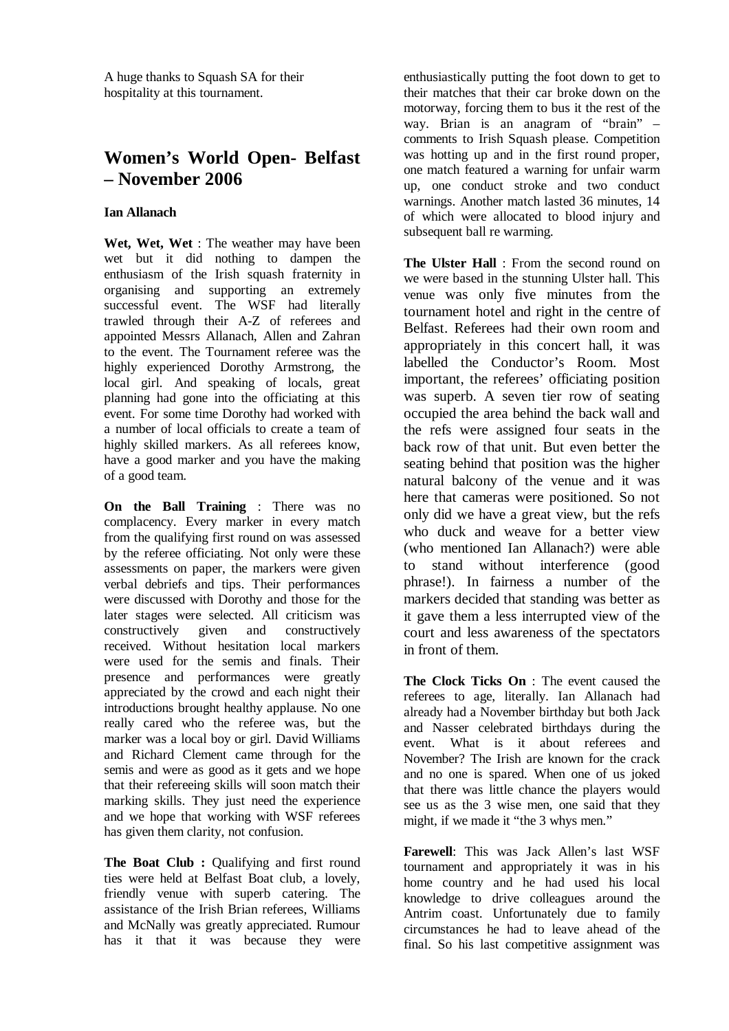A huge thanks to Squash SA for their hospitality at this tournament.

### **Women's World Open- Belfast – November 2006**

#### **Ian Allanach**

**Wet, Wet, Wet** : The weather may have been wet but it did nothing to dampen the enthusiasm of the Irish squash fraternity in organising and supporting an extremely successful event. The WSF had literally trawled through their A-Z of referees and appointed Messrs Allanach, Allen and Zahran to the event. The Tournament referee was the highly experienced Dorothy Armstrong, the local girl. And speaking of locals, great planning had gone into the officiating at this event. For some time Dorothy had worked with a number of local officials to create a team of highly skilled markers. As all referees know, have a good marker and you have the making of a good team.

**On the Ball Training** : There was no complacency. Every marker in every match from the qualifying first round on was assessed by the referee officiating. Not only were these assessments on paper, the markers were given verbal debriefs and tips. Their performances were discussed with Dorothy and those for the later stages were selected. All criticism was constructively given and constructively received. Without hesitation local markers were used for the semis and finals. Their presence and performances were greatly appreciated by the crowd and each night their introductions brought healthy applause. No one really cared who the referee was, but the marker was a local boy or girl. David Williams and Richard Clement came through for the semis and were as good as it gets and we hope that their refereeing skills will soon match their marking skills. They just need the experience and we hope that working with WSF referees has given them clarity, not confusion.

**The Boat Club :** Qualifying and first round ties were held at Belfast Boat club, a lovely, friendly venue with superb catering. The assistance of the Irish Brian referees, Williams and McNally was greatly appreciated. Rumour has it that it was because they were

enthusiastically putting the foot down to get to their matches that their car broke down on the motorway, forcing them to bus it the rest of the way. Brian is an anagram of "brain" – comments to Irish Squash please. Competition was hotting up and in the first round proper, one match featured a warning for unfair warm up, one conduct stroke and two conduct warnings. Another match lasted 36 minutes, 14 of which were allocated to blood injury and subsequent ball re warming.

**The Ulster Hall** : From the second round on we were based in the stunning Ulster hall. This venue was only five minutes from the tournament hotel and right in the centre of Belfast. Referees had their own room and appropriately in this concert hall, it was labelled the Conductor's Room. Most important, the referees' officiating position was superb. A seven tier row of seating occupied the area behind the back wall and the refs were assigned four seats in the back row of that unit. But even better the seating behind that position was the higher natural balcony of the venue and it was here that cameras were positioned. So not only did we have a great view, but the refs who duck and weave for a better view (who mentioned Ian Allanach?) were able to stand without interference (good phrase!). In fairness a number of the markers decided that standing was better as it gave them a less interrupted view of the court and less awareness of the spectators in front of them.

**The Clock Ticks On** : The event caused the referees to age, literally. Ian Allanach had already had a November birthday but both Jack and Nasser celebrated birthdays during the event. What is it about referees and November? The Irish are known for the crack and no one is spared. When one of us joked that there was little chance the players would see us as the 3 wise men, one said that they might, if we made it "the 3 whys men."

**Farewell**: This was Jack Allen's last WSF tournament and appropriately it was in his home country and he had used his local knowledge to drive colleagues around the Antrim coast. Unfortunately due to family circumstances he had to leave ahead of the final. So his last competitive assignment was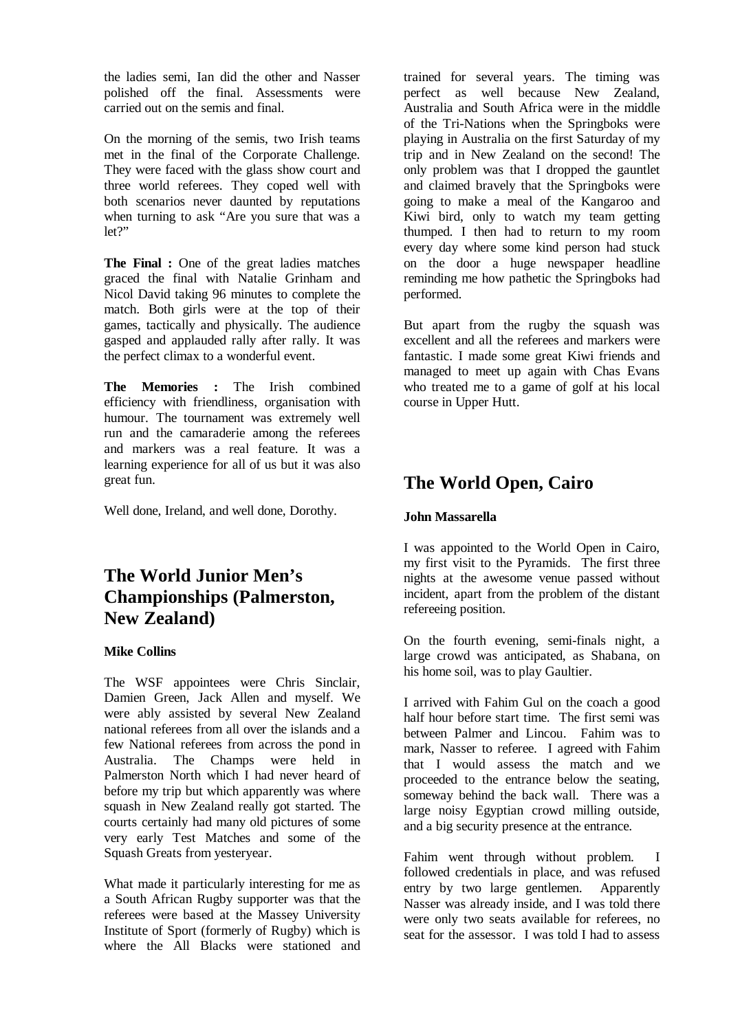the ladies semi, Ian did the other and Nasser polished off the final. Assessments were carried out on the semis and final.

On the morning of the semis, two Irish teams met in the final of the Corporate Challenge. They were faced with the glass show court and three world referees. They coped well with both scenarios never daunted by reputations when turning to ask "Are you sure that was a  $let?$ 

**The Final :** One of the great ladies matches graced the final with Natalie Grinham and Nicol David taking 96 minutes to complete the match. Both girls were at the top of their games, tactically and physically. The audience gasped and applauded rally after rally. It was the perfect climax to a wonderful event.

**The Memories :** The Irish combined efficiency with friendliness, organisation with humour. The tournament was extremely well run and the camaraderie among the referees and markers was a real feature. It was a learning experience for all of us but it was also great fun.

Well done, Ireland, and well done, Dorothy.

## **The World Junior Men's Championships (Palmerston, New Zealand)**

### **Mike Collins**

The WSF appointees were Chris Sinclair, Damien Green, Jack Allen and myself. We were ably assisted by several New Zealand national referees from all over the islands and a few National referees from across the pond in Australia. The Champs were held in Palmerston North which I had never heard of before my trip but which apparently was where squash in New Zealand really got started. The courts certainly had many old pictures of some very early Test Matches and some of the Squash Greats from yesteryear.

What made it particularly interesting for me as a South African Rugby supporter was that the referees were based at the Massey University Institute of Sport (formerly of Rugby) which is where the All Blacks were stationed and trained for several years. The timing was perfect as well because New Zealand, Australia and South Africa were in the middle of the Tri-Nations when the Springboks were playing in Australia on the first Saturday of my trip and in New Zealand on the second! The only problem was that I dropped the gauntlet and claimed bravely that the Springboks were going to make a meal of the Kangaroo and Kiwi bird, only to watch my team getting thumped. I then had to return to my room every day where some kind person had stuck on the door a huge newspaper headline reminding me how pathetic the Springboks had performed.

But apart from the rugby the squash was excellent and all the referees and markers were fantastic. I made some great Kiwi friends and managed to meet up again with Chas Evans who treated me to a game of golf at his local course in Upper Hutt.

## **The World Open, Cairo**

### **John Massarella**

I was appointed to the World Open in Cairo, my first visit to the Pyramids. The first three nights at the awesome venue passed without incident, apart from the problem of the distant refereeing position.

On the fourth evening, semi-finals night, a large crowd was anticipated, as Shabana, on his home soil, was to play Gaultier.

I arrived with Fahim Gul on the coach a good half hour before start time. The first semi was between Palmer and Lincou. Fahim was to mark, Nasser to referee. I agreed with Fahim that I would assess the match and we proceeded to the entrance below the seating, someway behind the back wall. There was a large noisy Egyptian crowd milling outside, and a big security presence at the entrance.

Fahim went through without problem. I followed credentials in place, and was refused entry by two large gentlemen. Apparently Nasser was already inside, and I was told there were only two seats available for referees, no seat for the assessor. I was told I had to assess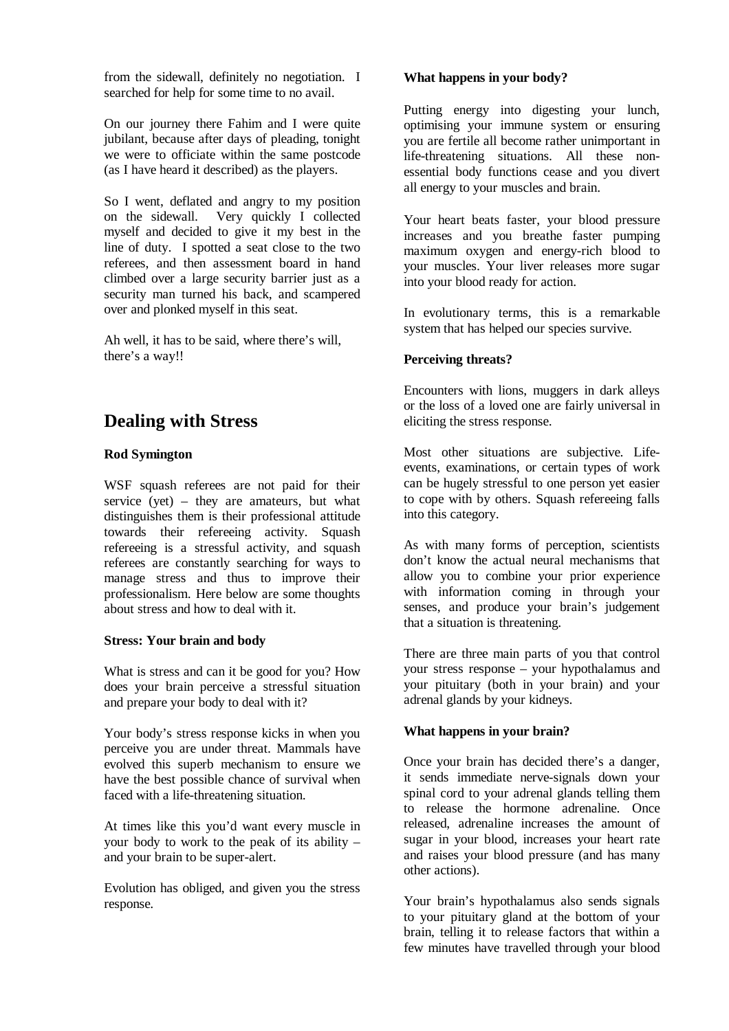from the sidewall, definitely no negotiation. I searched for help for some time to no avail.

On our journey there Fahim and I were quite jubilant, because after days of pleading, tonight we were to officiate within the same postcode (as I have heard it described) as the players.

So I went, deflated and angry to my position on the sidewall. Very quickly I collected myself and decided to give it my best in the line of duty. I spotted a seat close to the two referees, and then assessment board in hand climbed over a large security barrier just as a security man turned his back, and scampered over and plonked myself in this seat.

Ah well, it has to be said, where there's will, there's a way!!

### **Dealing with Stress**

### **Rod Symington**

WSF squash referees are not paid for their service (yet) – they are amateurs, but what distinguishes them is their professional attitude towards their refereeing activity. Squash refereeing is a stressful activity, and squash referees are constantly searching for ways to manage stress and thus to improve their professionalism. Here below are some thoughts about stress and how to deal with it.

#### **Stress: Your brain and body**

What is stress and can it be good for you? How does your brain perceive a stressful situation and prepare your body to deal with it?

Your body's stress response kicks in when you perceive you are under threat. Mammals have evolved this superb mechanism to ensure we have the best possible chance of survival when faced with a life-threatening situation.

At times like this you'd want every muscle in your body to work to the peak of its ability – and your brain to be super-alert.

Evolution has obliged, and given you the stress response.

#### **What happens in your body?**

Putting energy into digesting your lunch, optimising your immune system or ensuring you are fertile all become rather unimportant in life-threatening situations. All these nonessential body functions cease and you divert all energy to your muscles and brain.

Your heart beats faster, your blood pressure increases and you breathe faster pumping maximum oxygen and energy-rich blood to your muscles. Your liver releases more sugar into your blood ready for action.

In evolutionary terms, this is a remarkable system that has helped our species survive.

### **Perceiving threats?**

Encounters with lions, muggers in dark alleys or the loss of a loved one are fairly universal in eliciting the stress response.

Most other situations are subjective. Lifeevents, examinations, or certain types of work can be hugely stressful to one person yet easier to cope with by others. Squash refereeing falls into this category.

As with many forms of perception, scientists don't know the actual neural mechanisms that allow you to combine your prior experience with information coming in through your senses, and produce your brain's judgement that a situation is threatening.

There are three main parts of you that control your stress response – your hypothalamus and your pituitary (both in your brain) and your adrenal glands by your kidneys.

### **What happens in your brain?**

Once your brain has decided there's a danger, it sends immediate nerve-signals down your spinal cord to your adrenal glands telling them to release the hormone adrenaline. Once released, adrenaline increases the amount of sugar in your blood, increases your heart rate and raises your blood pressure (and has many other actions).

Your brain's hypothalamus also sends signals to your pituitary gland at the bottom of your brain, telling it to release factors that within a few minutes have travelled through your blood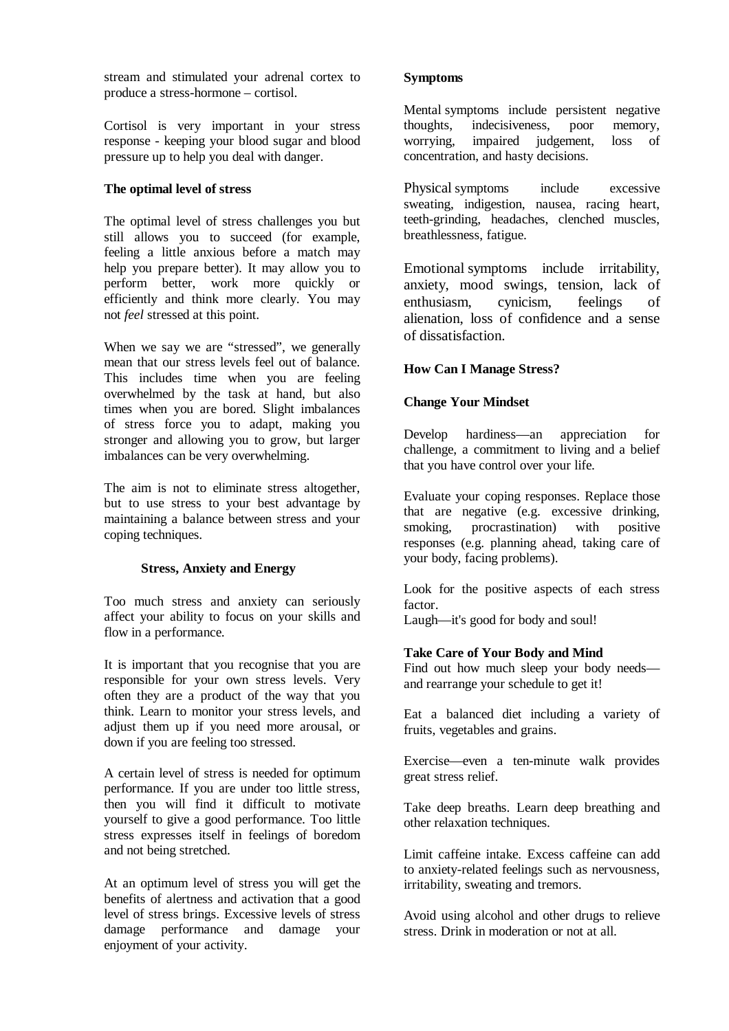stream and stimulated your adrenal cortex to produce a stress-hormone – cortisol.

Cortisol is very important in your stress response - keeping your blood sugar and blood pressure up to help you deal with danger.

#### **The optimal level of stress**

The optimal level of stress challenges you but still allows you to succeed (for example, feeling a little anxious before a match may help you prepare better). It may allow you to perform better, work more quickly or efficiently and think more clearly. You may not *feel* stressed at this point.

When we say we are "stressed", we generally mean that our stress levels feel out of balance. This includes time when you are feeling overwhelmed by the task at hand, but also times when you are bored. Slight imbalances of stress force you to adapt, making you stronger and allowing you to grow, but larger imbalances can be very overwhelming.

The aim is not to eliminate stress altogether, but to use stress to your best advantage by maintaining a balance between stress and your coping techniques.

#### **Stress, Anxiety and Energy**

Too much stress and anxiety can seriously affect your ability to focus on your skills and flow in a performance.

It is important that you recognise that you are responsible for your own stress levels. Very often they are a product of the way that you think. Learn to monitor your stress levels, and adjust them up if you need more arousal, or down if you are feeling too stressed.

A certain level of stress is needed for optimum performance. If you are under too little stress, then you will find it difficult to motivate yourself to give a good performance. Too little stress expresses itself in feelings of boredom and not being stretched.

At an optimum level of stress you will get the benefits of alertness and activation that a good level of stress brings. Excessive levels of stress damage performance and damage your enjoyment of your activity.

#### **Symptoms**

Mental symptoms include persistent negative thoughts, indecisiveness, poor memory, worrying, impaired judgement, loss of concentration, and hasty decisions.

Physical symptoms include excessive sweating, indigestion, nausea, racing heart, teeth-grinding, headaches, clenched muscles, breathlessness, fatigue.

Emotional symptoms include irritability, anxiety, mood swings, tension, lack of enthusiasm, cynicism, feelings of alienation, loss of confidence and a sense of dissatisfaction.

### **How Can I Manage Stress?**

### **Change Your Mindset**

Develop hardiness—an appreciation for challenge, a commitment to living and a belief that you have control over your life.

Evaluate your coping responses. Replace those that are negative (e.g. excessive drinking, smoking, procrastination) with positive responses (e.g. planning ahead, taking care of your body, facing problems).

Look for the positive aspects of each stress factor.

Laugh—it's good for body and soul!

#### **Take Care of Your Body and Mind**

Find out how much sleep your body needs and rearrange your schedule to get it!

Eat a balanced diet including a variety of fruits, vegetables and grains.

Exercise—even a ten-minute walk provides great stress relief.

Take deep breaths. Learn deep breathing and other relaxation techniques.

Limit caffeine intake. Excess caffeine can add to anxiety-related feelings such as nervousness, irritability, sweating and tremors.

Avoid using alcohol and other drugs to relieve stress. Drink in moderation or not at all.